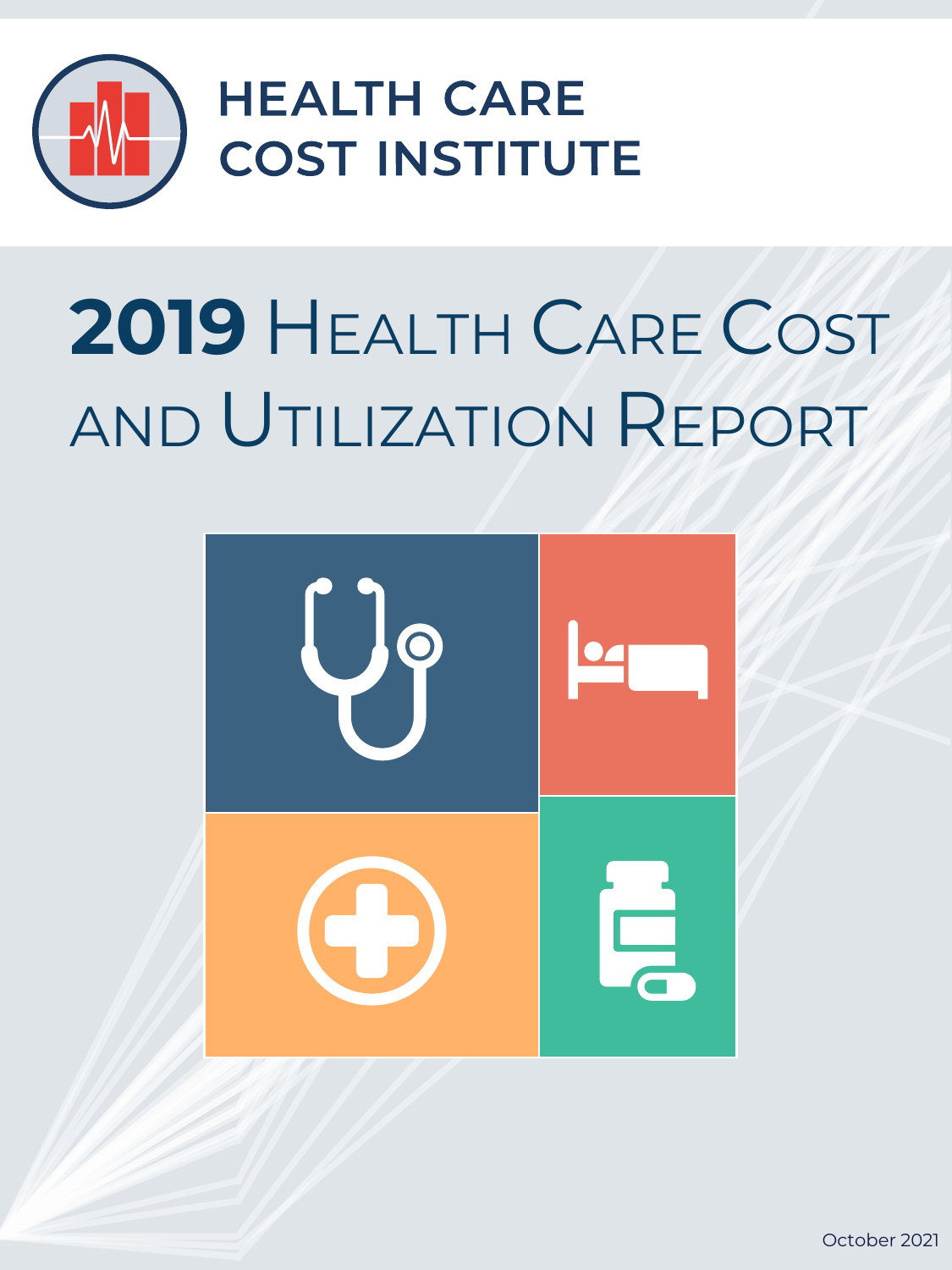

# **2019** HEALTH CARE COST AND UTILIZATION REPORT

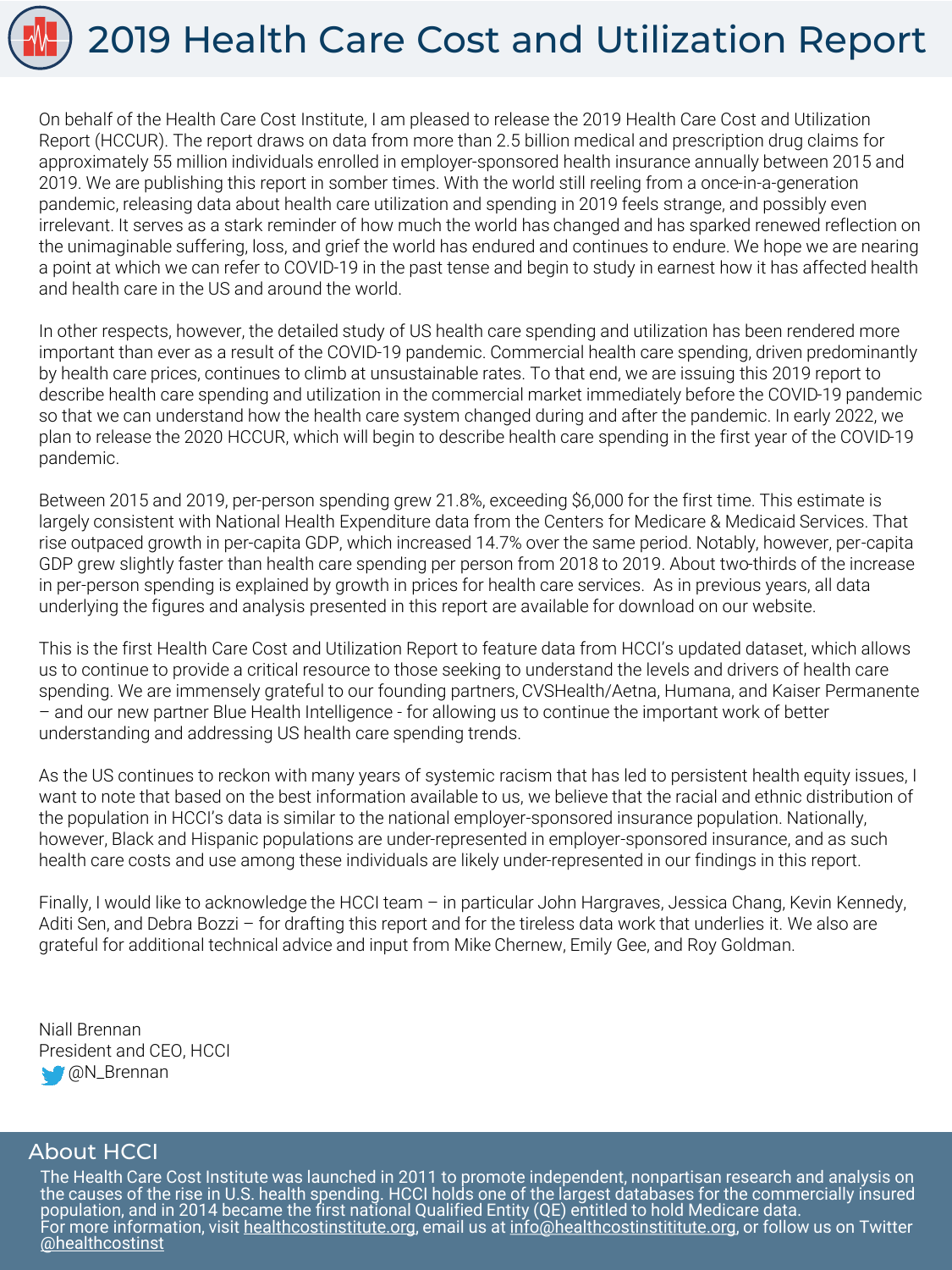

On behalf of the Health Care Cost Institute, I am pleased to release the 2019 Health Care Cost and Utilization Report (HCCUR). The report draws on data from more than 2.5 billion medical and prescription drug claims for approximately 55 million individuals enrolled in employer-sponsored health insurance annually between 2015 and 2019. We are publishing this report in somber times. With the world still reeling from a once-in-a-generation pandemic, releasing data about health care utilization and spending in 2019 feels strange, and possibly even irrelevant. It serves as a stark reminder of how much the world has changed and has sparked renewed reflection on the unimaginable suffering, loss, and grief the world has endured and continues to endure. We hope we are nearing a point at which we can refer to COVID-19 in the past tense and begin to study in earnest how it has affected health and health care in the US and around the world.

In other respects, however, the detailed study of US health care spending and utilization has been rendered more important than ever as a result of the COVID-19 pandemic. Commercial health care spending, driven predominantly by health care prices, continues to climb at unsustainable rates. To that end, we are issuing this 2019 report to describe health care spending and utilization in the commercial market immediately before the COVID-19 pandemic so that we can understand how the health care system changed during and after the pandemic. In early 2022, we plan to release the 2020 HCCUR, which will begin to describe health care spending in the first year of the COVID-19 pandemic.

Between 2015 and 2019, per-person spending grew 21.8%, exceeding \$6,000 for the first time. This estimate is largely consistent with National Health Expenditure data from the Centers for Medicare & Medicaid Services. That rise outpaced growth in per-capita GDP, which increased 14.7% over the same period. Notably, however, per-capita GDP grew slightly faster than health care spending per person from 2018 to 2019. About two-thirds of the increase in per-person spending is explained by growth in prices for health care services. As in previous years, all data underlying the figures and analysis presented in this report are available for download on our website.

This is the first Health Care Cost and Utilization Report to feature data from HCCI's updated dataset, which allows us to continue to provide a critical resource to those seeking to understand the levels and drivers of health care spending. We are immensely grateful to our founding partners, CVSHealth/Aetna, Humana, and Kaiser Permanente – and our new partner Blue Health Intelligence - for allowing us to continue the important work of better understanding and addressing US health care spending trends.

As the US continues to reckon with many years of systemic racism that has led to persistent health equity issues, I want to note that based on the best information available to us, we believe that the racial and ethnic distribution of the population in HCCI's data is similar to the national employer-sponsored insurance population. Nationally, however, Black and Hispanic populations are under-represented in employer-sponsored insurance, and as such health care costs and use among these individuals are likely under-represented in our findings in this report.

Finally, I would like to acknowledge the HCCI team – in particular John Hargraves, Jessica Chang, Kevin Kennedy, Aditi Sen, and Debra Bozzi – for drafting this report and for the tireless data work that underlies it. We also are grateful for additional technical advice and input from Mike Chernew, Emily Gee, and Roy Goldman.

Niall Brennan President and CEO, HCCI **M** @N\_Brennan

### About HCCI

The Health Care Cost Institute was launched in 2011 to promote independent, nonpartisan research and analysis on the causes of the rise in U.S. health spending. HCCI holds one of the largest databases for the commercially insured population, and in 2014 became the first national Qualified Entity (QE) entitled to hold Medicare data. For more information, visit <u>healthcostinstitute.org</u>, email us at <u>info@healthcostinstititute.org</u>, or follow us on Twitter [@healthcostinst](https://twitter.com/healthcostinst)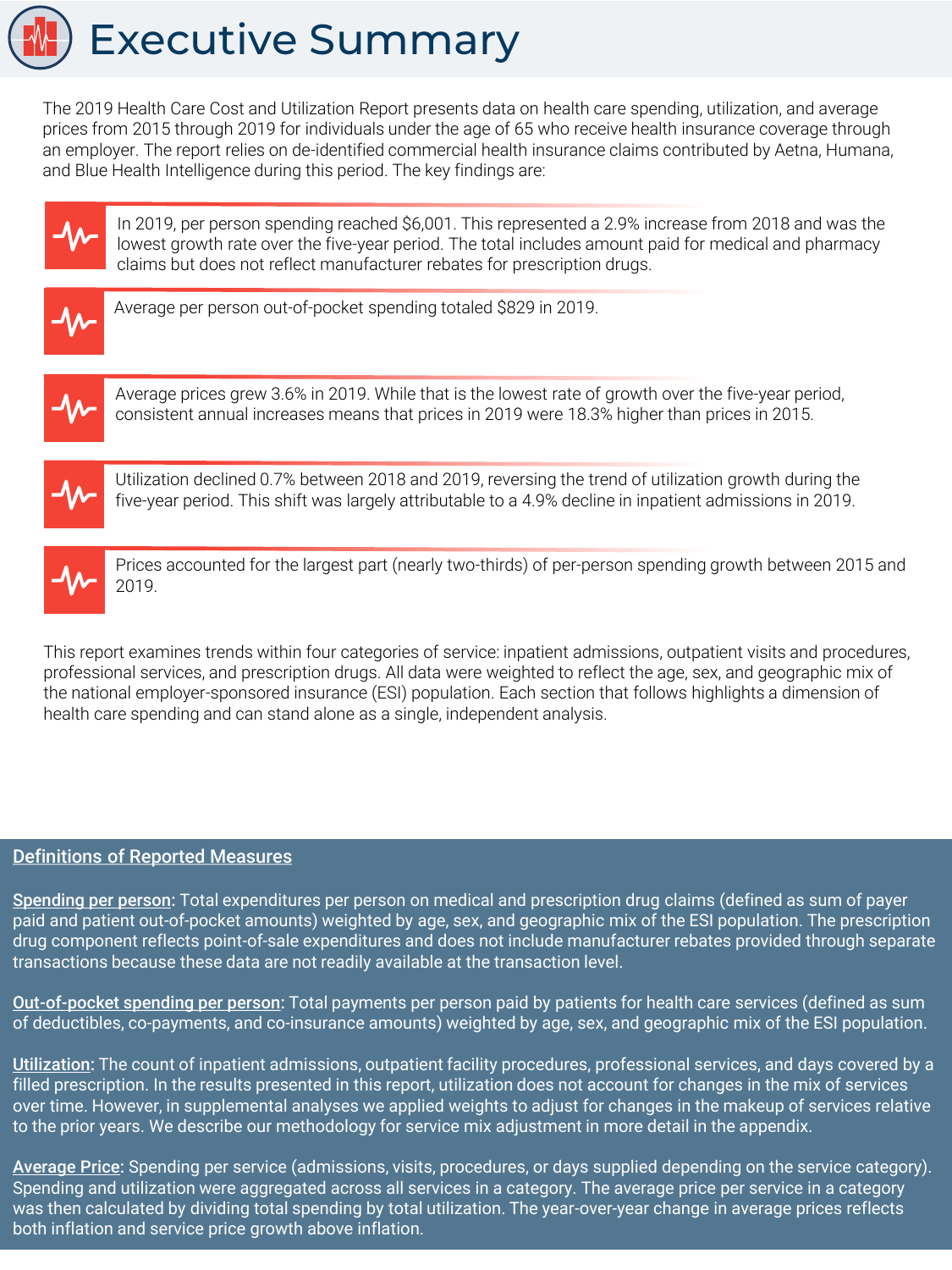

The 2019 Health Care Cost and Utilization Report presents data on health care spending, utilization, and average prices from 2015 through 2019 for individuals under the age of 65 who receive health insurance coverage through an employer. The report relies on de-identified commercial health insurance claims contributed by Aetna, Humana, and Blue Health Intelligence during this period. The key findings are:



In 2019, per person spending reached \$6,001. This represented a 2.9% increase from 2018 and was the lowest growth rate over the five-year period. The total includes amount paid for medical and pharmacy claims but does not reflect manufacturer rebates for prescription drugs.



Average per person out-of-pocket spending totaled \$829 in 2019.



Average prices grew 3.6% in 2019. While that is the lowest rate of growth over the five-year period, consistent annual increases means that prices in 2019 were 18.3% higher than prices in 2015.



Utilization declined 0.7% between 2018 and 2019, reversing the trend of utilization growth during the five-year period. This shift was largely attributable to a 4.9% decline in inpatient admissions in 2019.



Prices accounted for the largest part (nearly two-thirds) of per-person spending growth between 2015 and 2019.

This report examines trends within four categories of service: inpatient admissions, outpatient visits and procedures, professional services, and prescription drugs. All data were weighted to reflect the age, sex, and geographic mix of the national employer-sponsored insurance (ESI) population. Each section that follows highlights a dimension of health care spending and can stand alone as a single, independent analysis.

### Definitions of Reported Measures

Spending per person: Total expenditures per person on medical and prescription drug claims (defined as sum of payer paid and patient out-of-pocket amounts) weighted by age, sex, and geographic mix of the ESI population. The prescription drug component reflects point-of-sale expenditures and does not include manufacturer rebates provided through separate transactions because these data are not readily available at the transaction level.

Out-of-pocket spending per person: Total payments per person paid by patients for health care services (defined as sum of deductibles, co-payments, and co-insurance amounts) weighted by age, sex, and geographic mix of the ESI population.

Utilization: The count of inpatient admissions, outpatient facility procedures, professional services, and days covered by a filled prescription. In the results presented in this report, utilization does not account for changes in the mix of services over time. However, in supplemental analyses we applied weights to adjust for changes in the makeup of services relative to the prior years. We describe our methodology for service mix adjustment in more detail in the appendix.

Average Price: Spending per service (admissions, visits, procedures, or days supplied depending on the service category). Spending and utilization were aggregated across all services in a category. The average price per service in a category was then calculated by dividing total spending by total utilization. The year-over-year change in average prices reflects both inflation and service price growth above inflation.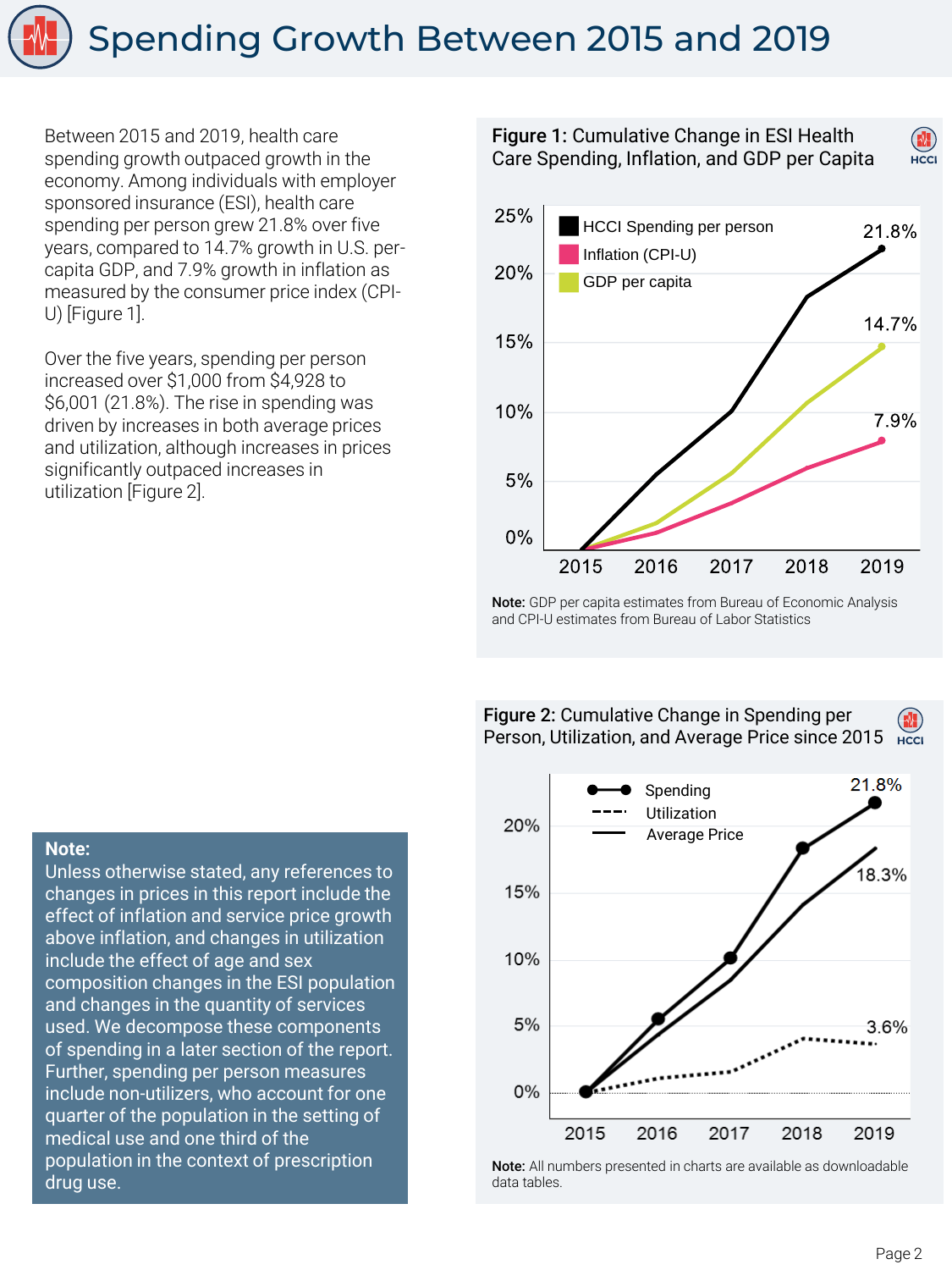

Between 2015 and 2019, health care spending growth outpaced growth in the economy. Among individuals with employer sponsored insurance (ESI), health care spending per person grew 21.8% over five years, compared to 14.7% growth in U.S. percapita GDP, and 7.9% growth in inflation as measured by the consumer price index (CPI-U) [Figure 1].

Over the five years, spending per person increased over \$1,000 from \$4,928 to \$6,001 (21.8%). The rise in spending was driven by increases in both average prices and utilization, although increases in prices significantly outpaced increases in utilization [Figure 2].

![](_page_3_Figure_3.jpeg)

Note: GDP per capita estimates from Bureau of Economic Analysis and CPI-U estimates from Bureau of Labor Statistics

#### Figure 2: Cumulative Change in Spending per Person, Utilization, and Average Price since 2015 **HCCI**

![](_page_3_Figure_6.jpeg)

Note: All numbers presented in charts are available as downloadable data tables.

#### **Note:**

Unless otherwise stated, any references to changes in prices in this report include the effect of inflation and service price growth above inflation, and changes in utilization include the effect of age and sex composition changes in the ESI population and changes in the quantity of services used. We decompose these components of spending in a later section of the report. Further, spending per person measures include non-utilizers, who account for one quarter of the population in the setting of medical use and one third of the population in the context of prescription drug use.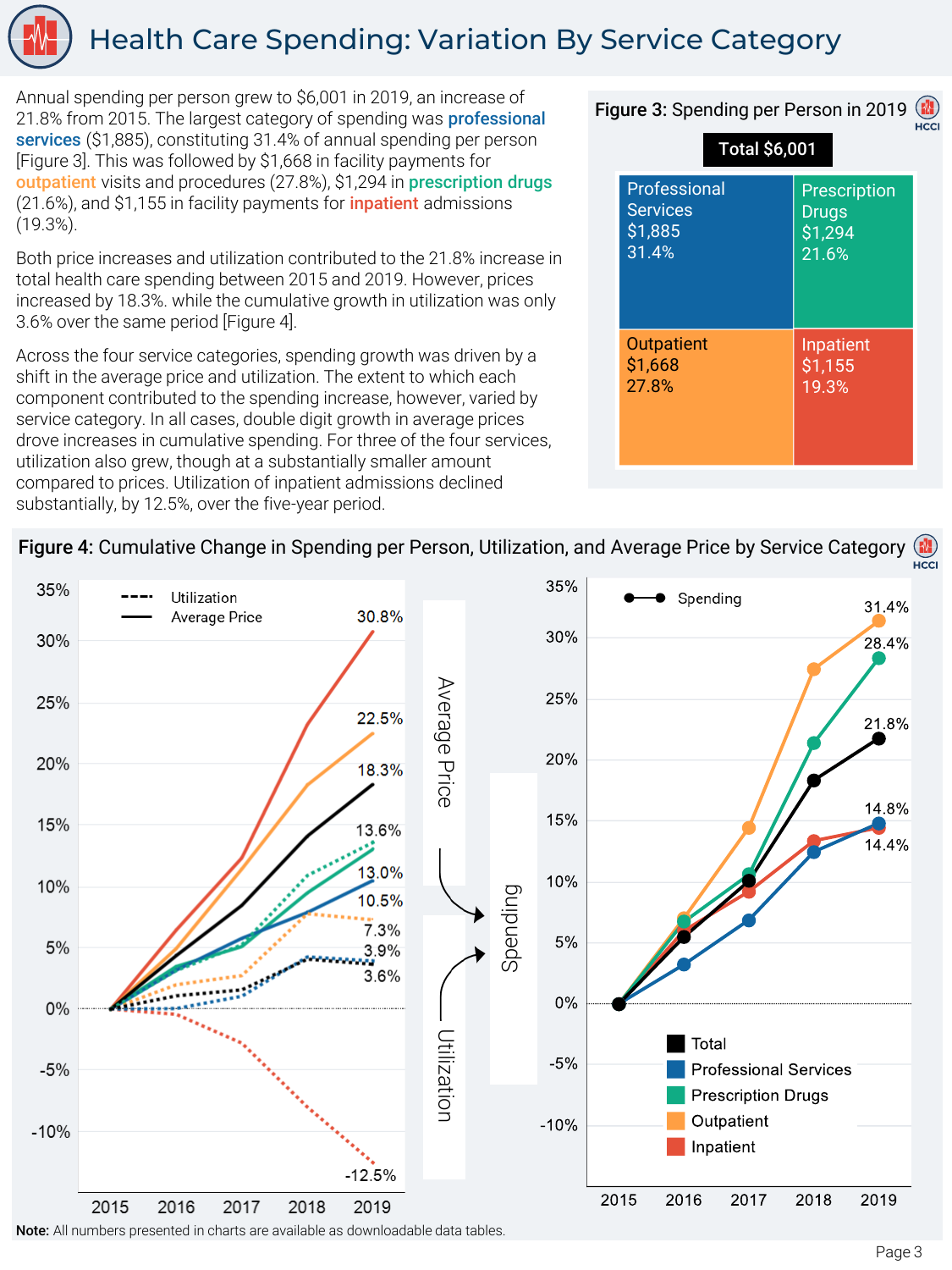![](_page_4_Picture_0.jpeg)

### Health Care Spending: Variation By Service Category

Annual spending per person grew to \$6,001 in 2019, an increase of 21.8% from 2015. The largest category of spending was **professional** services (\$1,885), constituting 31.4% of annual spending per person [Figure 3]. This was followed by \$1,668 in facility payments for outpatient visits and procedures (27.8%), \$1,294 in prescription drugs (21.6%), and \$1,155 in facility payments for *inpatient* admissions (19.3%).

Both price increases and utilization contributed to the 21.8% increase in total health care spending between 2015 and 2019. However, prices increased by 18.3%. while the cumulative growth in utilization was only 3.6% over the same period [Figure 4].

Across the four service categories, spending growth was driven by a shift in the average price and utilization. The extent to which each component contributed to the spending increase, however, varied by service category. In all cases, double digit growth in average prices drove increases in cumulative spending. For three of the four services, utilization also grew, though at a substantially smaller amount compared to prices. Utilization of inpatient admissions declined substantially, by 12.5%, over the five-year period.

|                                                     |                                                  | H |
|-----------------------------------------------------|--------------------------------------------------|---|
| <b>Total \$6,001</b>                                |                                                  |   |
| Professional<br><b>Services</b><br>\$1,885<br>31.4% | Prescription<br><b>Drugs</b><br>\$1,294<br>21.6% |   |
| <b>Outpatient</b><br>\$1,668<br>27.8%               | Inpatient<br>\$1,155<br>19.3%                    |   |

Figure 3: Spending per Person in 2019 (

#### Figure 4: Cumulative Change in Spending per Person, Utilization, and Average Price by Service Category HCCI

![](_page_4_Figure_7.jpeg)

Note: All numbers presented in charts are available as downloadable data tables.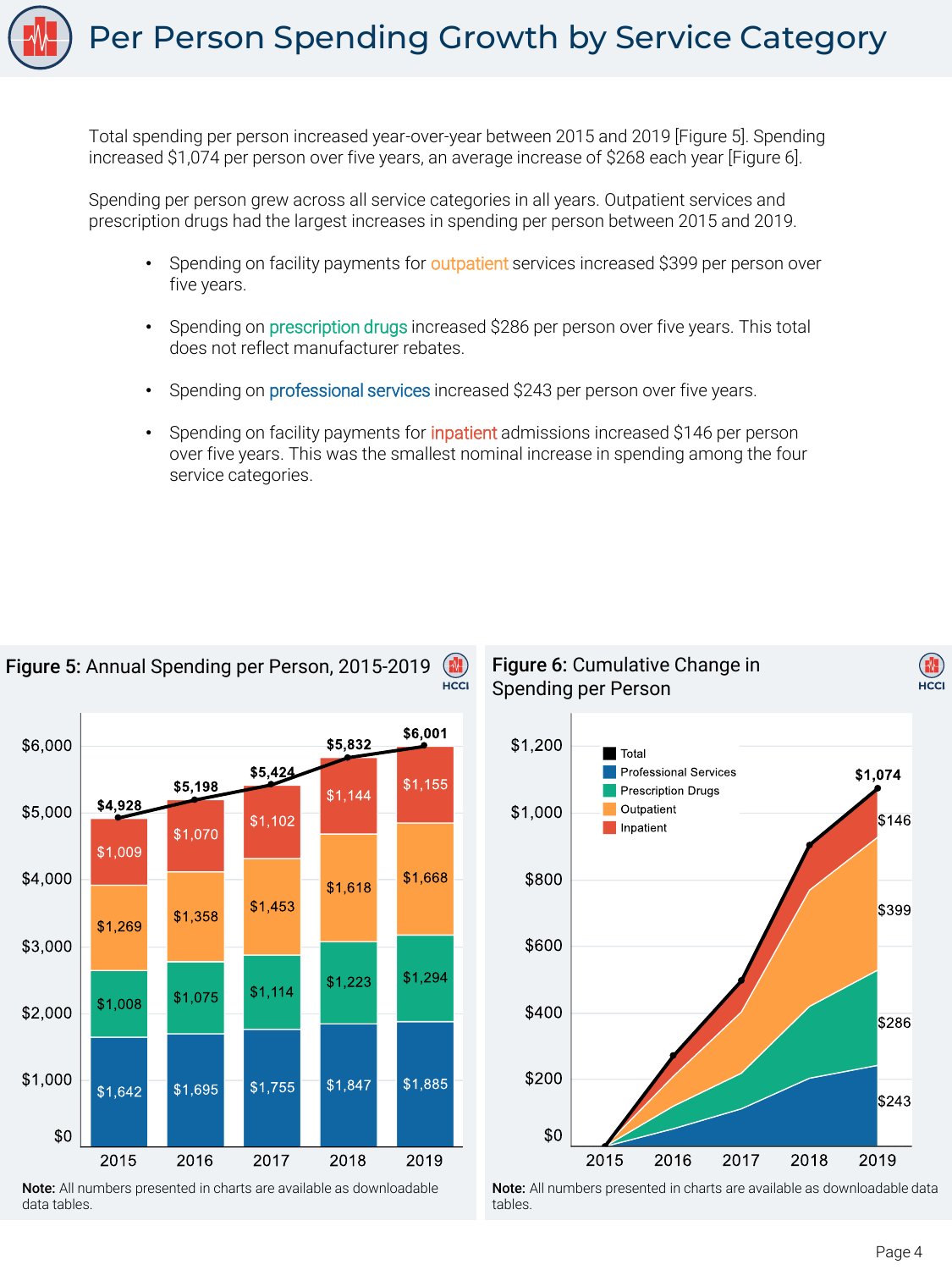Total spending per person increased year-over-year between 2015 and 2019 [Figure 5]. Spending increased \$1,074 per person over five years, an average increase of \$268 each year [Figure 6].

Spending per person grew across all service categories in all years. Outpatient services and prescription drugs had the largest increases in spending per person between 2015 and 2019.

- Spending on facility payments for outpatient services increased \$399 per person over five years.
- Spending on prescription drugs increased \$286 per person over five years. This total does not reflect manufacturer rebates.
- Spending on **professional services** increased \$243 per person over five years.
- Spending on facility payments for inpatient admissions increased \$146 per person over five years. This was the smallest nominal increase in spending among the four service categories.

![](_page_5_Figure_7.jpeg)

![](_page_5_Figure_8.jpeg)

Note: All numbers presented in charts are available as downloadable data tables.

Figure 6: Cumulative Change in Spending per Person

![](_page_5_Figure_11.jpeg)

Note: All numbers presented in charts are available as downloadable data tables.

(M.  $\sum_{H \subseteq C}$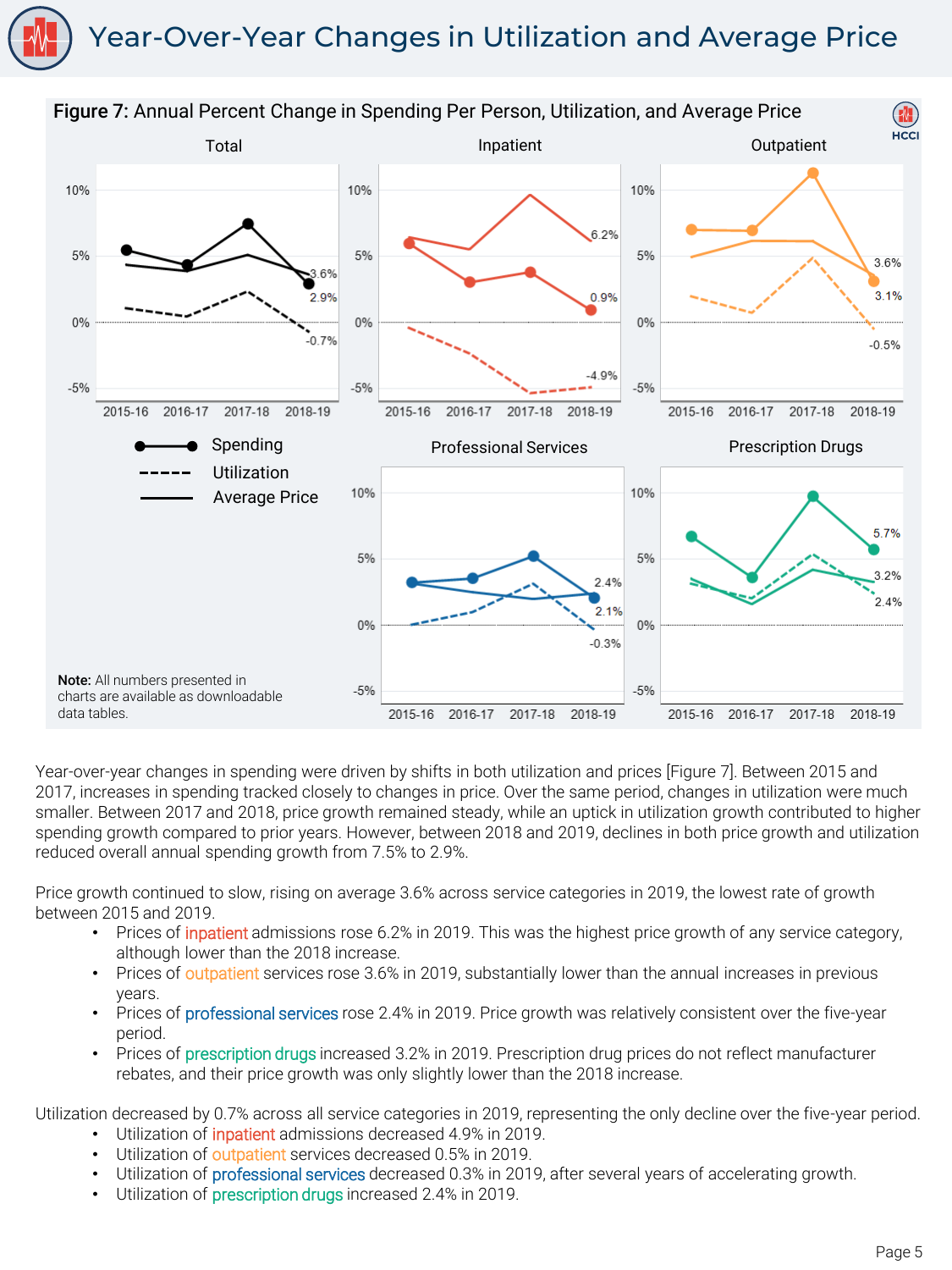## Year-Over-Year Changes in Utilization and Average Price

![](_page_6_Figure_1.jpeg)

Year-over-year changes in spending were driven by shifts in both utilization and prices [Figure 7]. Between 2015 and 2017, increases in spending tracked closely to changes in price. Over the same period, changes in utilization were much smaller. Between 2017 and 2018, price growth remained steady, while an uptick in utilization growth contributed to higher spending growth compared to prior years. However, between 2018 and 2019, declines in both price growth and utilization reduced overall annual spending growth from 7.5% to 2.9%.

Price growth continued to slow, rising on average 3.6% across service categories in 2019, the lowest rate of growth between 2015 and 2019.

- Prices of inpatient admissions rose 6.2% in 2019. This was the highest price growth of any service category, although lower than the 2018 increase.
- Prices of outpatient services rose 3.6% in 2019, substantially lower than the annual increases in previous years.
- Prices of professional services rose 2.4% in 2019. Price growth was relatively consistent over the five-year period.
- Prices of prescription drugs increased 3.2% in 2019. Prescription drug prices do not reflect manufacturer rebates, and their price growth was only slightly lower than the 2018 increase.

Utilization decreased by 0.7% across all service categories in 2019, representing the only decline over the five-year period.

- Utilization of *inpatient* admissions decreased 4.9% in 2019.
- Utilization of outpatient services decreased 0.5% in 2019.
- Utilization of professional services decreased 0.3% in 2019, after several years of accelerating growth.
- Utilization of **prescription drugs** increased 2.4% in 2019.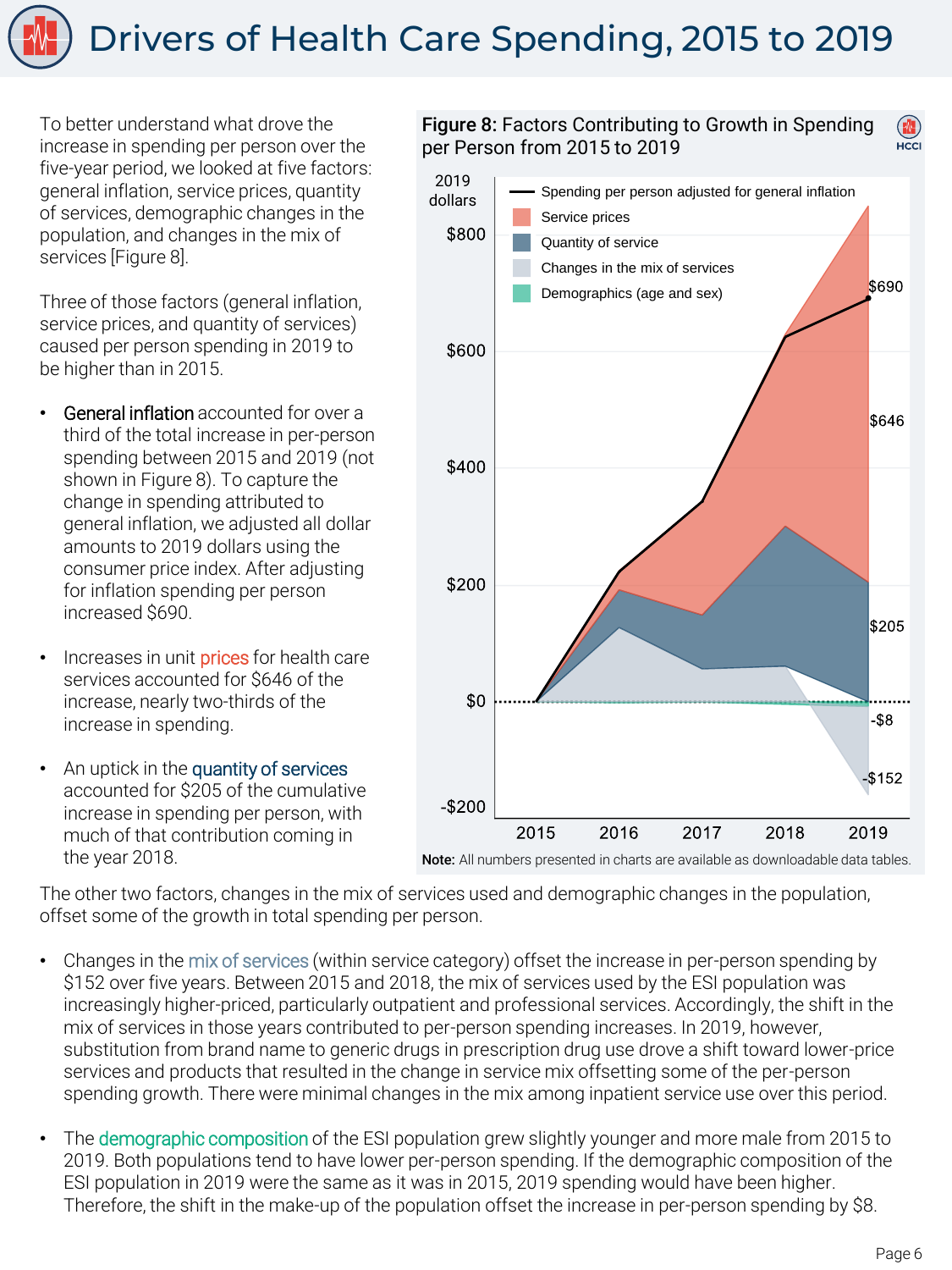To better understand what drove the increase in spending per person over the five-year period, we looked at five factors: general inflation, service prices, quantity of services, demographic changes in the population, and changes in the mix of services [Figure 8].

Three of those factors (general inflation, service prices, and quantity of services) caused per person spending in 2019 to be higher than in 2015.

- General inflation accounted for over a third of the total increase in per-person spending between 2015 and 2019 (not shown in Figure 8). To capture the change in spending attributed to general inflation, we adjusted all dollar amounts to 2019 dollars using the consumer price index. After adjusting for inflation spending per person increased \$690.
- Increases in unit **prices** for health care services accounted for \$646 of the increase, nearly two-thirds of the increase in spending.
- An uptick in the quantity of services accounted for \$205 of the cumulative increase in spending per person, with much of that contribution coming in the year 2018.

#### Figure 8: Factors Contributing to Growth in Spending per Person from 2015 to 2019 HCCI

![](_page_7_Figure_7.jpeg)

Note: All numbers presented in charts are available as downloadable data tables.

The other two factors, changes in the mix of services used and demographic changes in the population, offset some of the growth in total spending per person.

- Changes in the mix of services (within service category) offset the increase in per-person spending by \$152 over five years. Between 2015 and 2018, the mix of services used by the ESI population was increasingly higher-priced, particularly outpatient and professional services. Accordingly, the shift in the mix of services in those years contributed to per-person spending increases. In 2019, however, substitution from brand name to generic drugs in prescription drug use drove a shift toward lower-price services and products that resulted in the change in service mix offsetting some of the per-person spending growth. There were minimal changes in the mix among inpatient service use over this period.
- The demographic composition of the ESI population grew slightly younger and more male from 2015 to 2019. Both populations tend to have lower per-person spending. If the demographic composition of the ESI population in 2019 were the same as it was in 2015, 2019 spending would have been higher. Therefore, the shift in the make-up of the population offset the increase in per-person spending by \$8.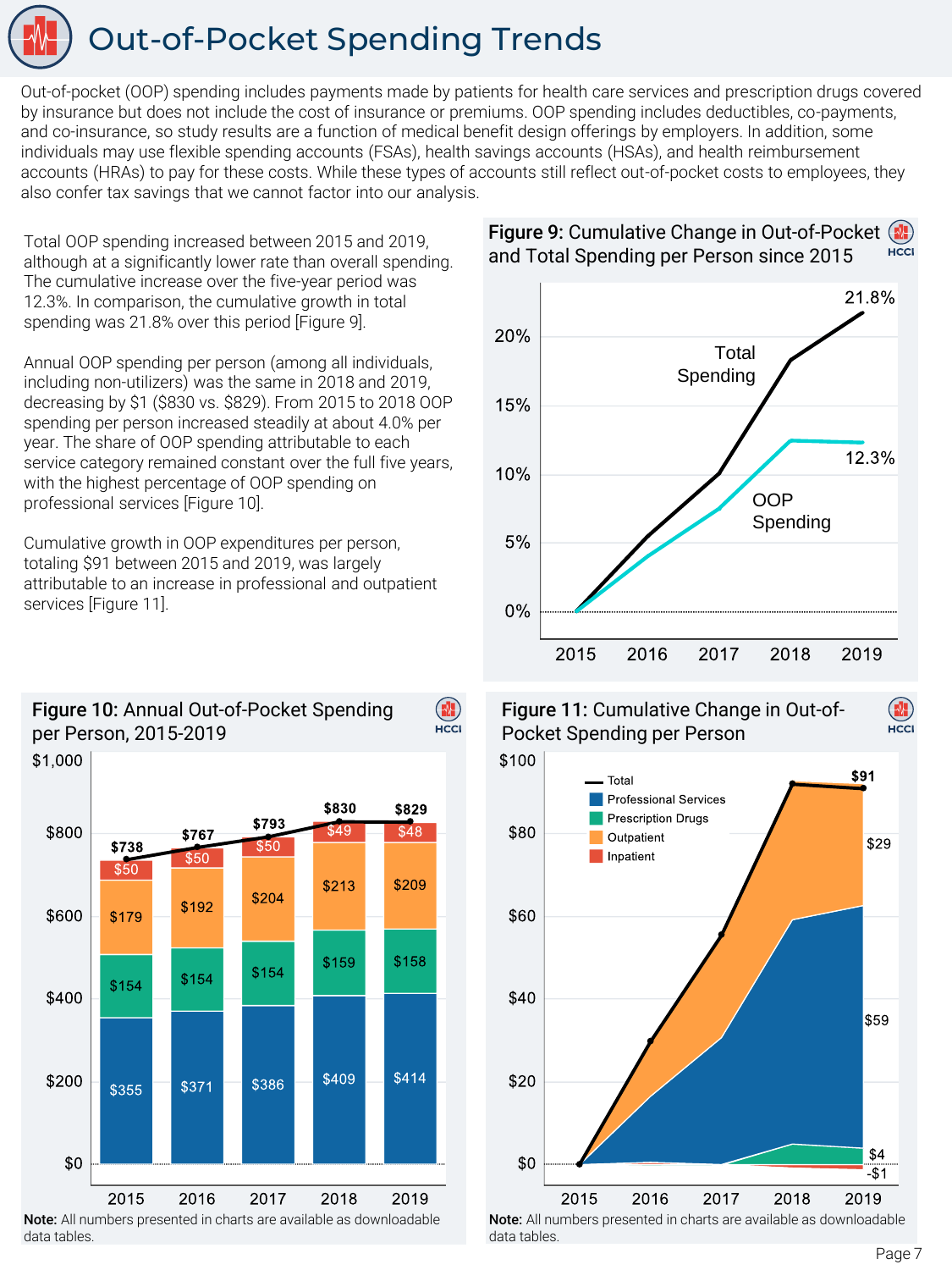# Out-of-Pocket Spending Trends

Out-of-pocket (OOP) spending includes payments made by patients for health care services and prescription drugs covered by insurance but does not include the cost of insurance or premiums. OOP spending includes deductibles, co-payments, and co-insurance, so study results are a function of medical benefit design offerings by employers. In addition, some individuals may use flexible spending accounts (FSAs), health savings accounts (HSAs), and health reimbursement accounts (HRAs) to pay for these costs. While these types of accounts still reflect out-of-pocket costs to employees, they also confer tax savings that we cannot factor into our analysis.

 $(\blacksquare)$ 

Total OOP spending increased between 2015 and 2019, although at a significantly lower rate than overall spending. The cumulative increase over the five-year period was 12.3%. In comparison, the cumulative growth in total spending was 21.8% over this period [Figure 9].

Annual OOP spending per person (among all individuals, including non-utilizers) was the same in 2018 and 2019, decreasing by \$1 (\$830 vs. \$829). From 2015 to 2018 OOP spending per person increased steadily at about 4.0% per year. The share of OOP spending attributable to each service category remained constant over the full five years, with the highest percentage of OOP spending on professional services [Figure 10].

Cumulative growth in OOP expenditures per person, totaling \$91 between 2015 and 2019, was largely attributable to an increase in professional and outpatient services [Figure 11].

![](_page_8_Figure_5.jpeg)

Figure 10: Annual Out-of-Pocket Spending

![](_page_8_Figure_8.jpeg)

#### Figure 9: Cumulative Change in Out-of-Pocket ( HCCI and Total Spending per Person since 2015

Figure 11: Cumulative Change in Out-of-Pocket Spending per Person

![](_page_8_Figure_11.jpeg)

Note: All numbers presented in charts are available as downloadable data tables.

HCCI

data tables.